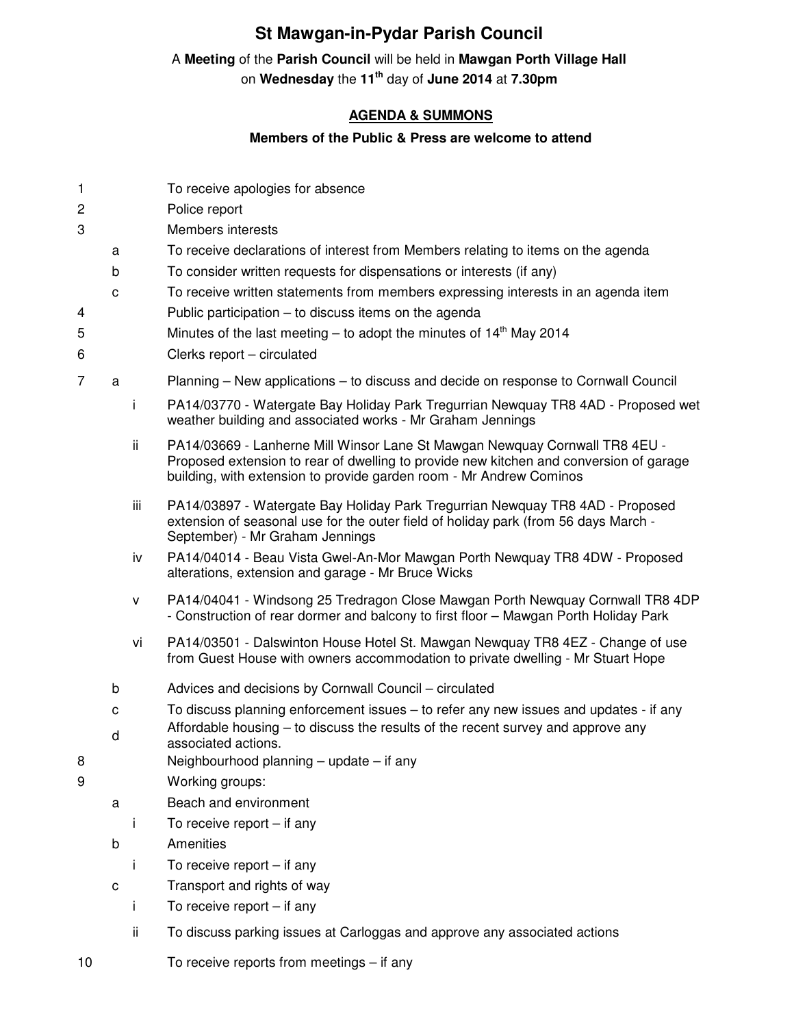## **St Mawgan-in-Pydar Parish Council**

## A **Meeting** of the **Parish Council** will be held in **Mawgan Porth Village Hall**

on **Wednesday** the **11th** day of **June 2014** at **7.30pm** 

## **AGENDA & SUMMONS**

## **Members of the Public & Press are welcome to attend**

| 1              |             |     | To receive apologies for absence                                                                                                                                                                                                             |
|----------------|-------------|-----|----------------------------------------------------------------------------------------------------------------------------------------------------------------------------------------------------------------------------------------------|
| 2              |             |     | Police report                                                                                                                                                                                                                                |
| 3              |             |     | <b>Members interests</b>                                                                                                                                                                                                                     |
|                | a           |     | To receive declarations of interest from Members relating to items on the agenda                                                                                                                                                             |
|                | b           |     | To consider written requests for dispensations or interests (if any)<br>To receive written statements from members expressing interests in an agenda item                                                                                    |
| 4              | $\mathbf C$ |     | Public participation – to discuss items on the agenda                                                                                                                                                                                        |
| 5              |             |     | Minutes of the last meeting – to adopt the minutes of $14th$ May 2014                                                                                                                                                                        |
| 6              |             |     | Clerks report - circulated                                                                                                                                                                                                                   |
| $\overline{7}$ | a           |     | Planning - New applications - to discuss and decide on response to Cornwall Council                                                                                                                                                          |
|                |             | i   | PA14/03770 - Watergate Bay Holiday Park Tregurrian Newquay TR8 4AD - Proposed wet                                                                                                                                                            |
|                |             |     | weather building and associated works - Mr Graham Jennings                                                                                                                                                                                   |
|                |             | ij. | PA14/03669 - Lanherne Mill Winsor Lane St Mawgan Newquay Cornwall TR8 4EU -<br>Proposed extension to rear of dwelling to provide new kitchen and conversion of garage<br>building, with extension to provide garden room - Mr Andrew Cominos |
|                |             | iii | PA14/03897 - Watergate Bay Holiday Park Tregurrian Newquay TR8 4AD - Proposed<br>extension of seasonal use for the outer field of holiday park (from 56 days March -<br>September) - Mr Graham Jennings                                      |
|                |             | iv  | PA14/04014 - Beau Vista Gwel-An-Mor Mawgan Porth Newquay TR8 4DW - Proposed<br>alterations, extension and garage - Mr Bruce Wicks                                                                                                            |
|                |             | v   | PA14/04041 - Windsong 25 Tredragon Close Mawgan Porth Newquay Cornwall TR8 4DP<br>- Construction of rear dormer and balcony to first floor - Mawgan Porth Holiday Park                                                                       |
|                |             | vi  | PA14/03501 - Dalswinton House Hotel St. Mawgan Newquay TR8 4EZ - Change of use<br>from Guest House with owners accommodation to private dwelling - Mr Stuart Hope                                                                            |
|                | b           |     | Advices and decisions by Cornwall Council - circulated                                                                                                                                                                                       |
|                | с           |     | To discuss planning enforcement issues – to refer any new issues and updates - if any                                                                                                                                                        |
|                | d           |     | Affordable housing – to discuss the results of the recent survey and approve any                                                                                                                                                             |
| 8              |             |     | associated actions.<br>Neighbourhood planning - update - if any                                                                                                                                                                              |
| 9              |             |     | Working groups:                                                                                                                                                                                                                              |
|                | a           |     | Beach and environment                                                                                                                                                                                                                        |
|                |             | j   | To receive report $-$ if any                                                                                                                                                                                                                 |
|                | b           |     | Amenities                                                                                                                                                                                                                                    |
|                |             | I.  | To receive report $-$ if any                                                                                                                                                                                                                 |
|                | $\mathbf C$ |     | Transport and rights of way                                                                                                                                                                                                                  |
|                |             | j   | To receive report $-$ if any                                                                                                                                                                                                                 |
|                |             | ii  | To discuss parking issues at Carloggas and approve any associated actions                                                                                                                                                                    |
| 10             |             |     | To receive reports from meetings - if any                                                                                                                                                                                                    |